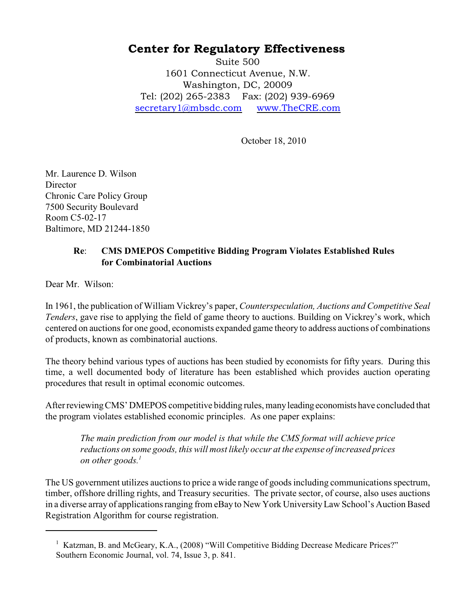## Center for Regulatory Effectiveness

Suite 500 1601 Connecticut Avenue, N.W. Washington, DC, 20009 Tel: (202) 265-2383 Fax: (202) 939-6969 [secretary1@mbsdc.com](mailto:secretary1@mbsdc.com) [www.TheCRE.com](https://www.thecre.com)

October 18, 2010

Mr. Laurence D. Wilson **Director** Chronic Care Policy Group 7500 Security Boulevard Room C5-02-17 Baltimore, MD 21244-1850

## **Re**: **CMS DMEPOS Competitive Bidding Program Violates Established Rules for Combinatorial Auctions**

Dear Mr. Wilson:

In 1961, the publication of William Vickrey's paper, *Counterspeculation, Auctions and Competitive Seal Tenders*, gave rise to applying the field of game theory to auctions. Building on Vickrey's work, which centered on auctions for one good, economists expanded game theory to address auctions of combinations of products, known as combinatorial auctions.

The theory behind various types of auctions has been studied by economists for fifty years. During this time, a well documented body of literature has been established which provides auction operating procedures that result in optimal economic outcomes.

After reviewing CMS' DMEPOS competitive bidding rules, many leading economists have concluded that the program violates established economic principles. As one paper explains:

*The main prediction from our model is that while the CMS format will achieve price reductions on some goods, this will most likely occur at the expense of increased prices on other goods. 1*

The US government utilizes auctions to price a wide range of goods including communications spectrum, timber, offshore drilling rights, and Treasury securities. The private sector, of course, also uses auctions in a diverse array of applications ranging from eBay to New York University Law School's Auction Based Registration Algorithm for course registration.

<sup>&</sup>lt;sup>1</sup> Katzman, B. and McGeary, K.A., (2008) "Will Competitive Bidding Decrease Medicare Prices?" Southern Economic Journal, vol. 74, Issue 3, p. 841.